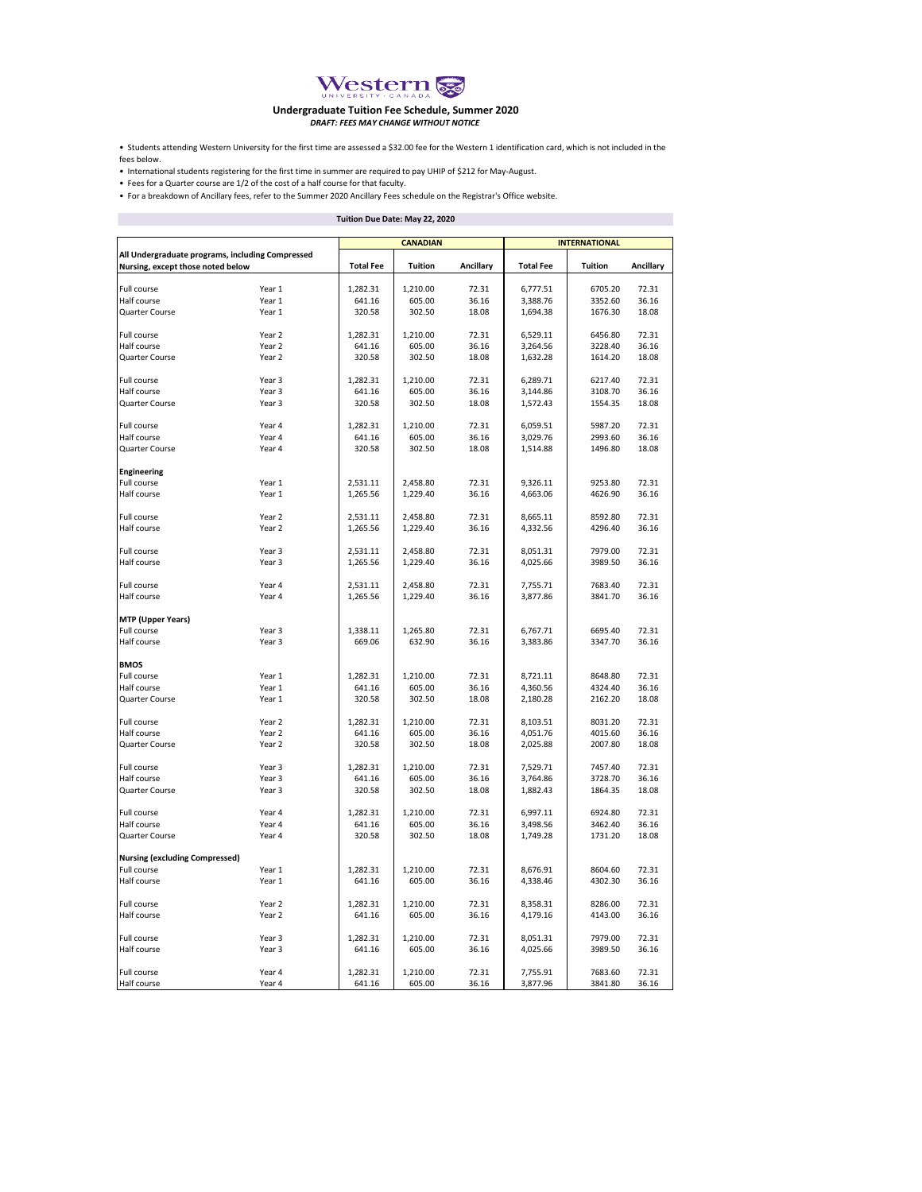

## **Dndergraduate Tuition Fee Schedule, Summer 2020<br>DRAFT: FEES MAY CHANGE WITHOUT NOTICE**

• Students attending Western University for the first time are assessed a \$32.00 fee for the Western 1 identification card, which is not included in the fees below.

• International students registering for the first time in summer are required to pay UHIP of \$212 for May-August.

• Fees for a Quarter course are 1/2 of the cost of a half course for that faculty.

• For a breakdown of Ancillary fees, refer to the Summer 2020 Ancillary Fees schedule on the Registrar's Office website.

| Tuition Due Date: May 22, 2020                                                        |        |                  |          |           |                      |         |           |  |
|---------------------------------------------------------------------------------------|--------|------------------|----------|-----------|----------------------|---------|-----------|--|
|                                                                                       |        | <b>CANADIAN</b>  |          |           | <b>INTERNATIONAL</b> |         |           |  |
| All Undergraduate programs, including Compressed<br>Nursing, except those noted below |        |                  |          |           |                      |         |           |  |
|                                                                                       |        | <b>Total Fee</b> | Tuition  | Ancillary | <b>Total Fee</b>     | Tuition | Ancillary |  |
| Full course                                                                           | Year 1 | 1,282.31         | 1,210.00 | 72.31     | 6,777.51             | 6705.20 | 72.31     |  |
| Half course                                                                           | Year 1 | 641.16           | 605.00   | 36.16     | 3,388.76             | 3352.60 | 36.16     |  |
| Quarter Course                                                                        | Year 1 | 320.58           | 302.50   | 18.08     | 1,694.38             | 1676.30 | 18.08     |  |
|                                                                                       |        |                  |          |           |                      |         |           |  |
| Full course                                                                           | Year 2 | 1,282.31         | 1,210.00 | 72.31     | 6,529.11             | 6456.80 | 72.31     |  |
| Half course                                                                           | Year 2 | 641.16           | 605.00   | 36.16     | 3,264.56             | 3228.40 | 36.16     |  |
| Quarter Course                                                                        | Year 2 | 320.58           | 302.50   | 18.08     | 1,632.28             | 1614.20 | 18.08     |  |
| Full course                                                                           | Year 3 | 1,282.31         | 1,210.00 | 72.31     | 6,289.71             | 6217.40 | 72.31     |  |
| Half course                                                                           | Year 3 | 641.16           | 605.00   | 36.16     | 3,144.86             | 3108.70 | 36.16     |  |
| Quarter Course                                                                        | Year 3 | 320.58           | 302.50   | 18.08     | 1,572.43             | 1554.35 | 18.08     |  |
|                                                                                       |        |                  |          |           |                      |         |           |  |
| Full course                                                                           | Year 4 | 1,282.31         | 1,210.00 | 72.31     | 6,059.51             | 5987.20 | 72.31     |  |
| Half course                                                                           | Year 4 | 641.16           | 605.00   | 36.16     | 3,029.76             | 2993.60 | 36.16     |  |
| Quarter Course                                                                        | Year 4 | 320.58           | 302.50   | 18.08     | 1,514.88             | 1496.80 | 18.08     |  |
|                                                                                       |        |                  |          |           |                      |         |           |  |
| <b>Engineering</b>                                                                    |        |                  |          |           |                      |         |           |  |
| Full course                                                                           | Year 1 | 2,531.11         | 2,458.80 | 72.31     | 9,326.11             | 9253.80 | 72.31     |  |
| Half course                                                                           | Year 1 | 1,265.56         | 1,229.40 | 36.16     | 4,663.06             | 4626.90 | 36.16     |  |
|                                                                                       |        |                  |          |           |                      |         |           |  |
| Full course                                                                           | Year 2 | 2,531.11         | 2,458.80 | 72.31     | 8,665.11             | 8592.80 | 72.31     |  |
| Half course                                                                           | Year 2 | 1,265.56         | 1,229.40 | 36.16     | 4,332.56             | 4296.40 | 36.16     |  |
|                                                                                       | Year 3 | 2,531.11         | 2,458.80 | 72.31     | 8,051.31             | 7979.00 | 72.31     |  |
| Full course<br>Half course                                                            | Year 3 | 1,265.56         | 1,229.40 | 36.16     | 4,025.66             | 3989.50 | 36.16     |  |
|                                                                                       |        |                  |          |           |                      |         |           |  |
| Full course                                                                           | Year 4 | 2,531.11         | 2,458.80 | 72.31     | 7,755.71             | 7683.40 | 72.31     |  |
| Half course                                                                           | Year 4 | 1,265.56         | 1,229.40 | 36.16     | 3,877.86             | 3841.70 | 36.16     |  |
|                                                                                       |        |                  |          |           |                      |         |           |  |
| <b>MTP</b> (Upper Years)                                                              |        |                  |          |           |                      |         |           |  |
| Full course                                                                           | Year 3 | 1,338.11         | 1,265.80 | 72.31     | 6,767.71             | 6695.40 | 72.31     |  |
| Half course                                                                           | Year 3 | 669.06           | 632.90   | 36.16     | 3,383.86             | 3347.70 | 36.16     |  |
|                                                                                       |        |                  |          |           |                      |         |           |  |
| <b>BMOS</b>                                                                           |        |                  |          |           |                      |         |           |  |
| Full course                                                                           | Year 1 | 1,282.31         | 1,210.00 | 72.31     | 8,721.11             | 8648.80 | 72.31     |  |
| Half course                                                                           | Year 1 | 641.16           | 605.00   | 36.16     | 4,360.56             | 4324.40 | 36.16     |  |
| Quarter Course                                                                        | Year 1 | 320.58           | 302.50   | 18.08     | 2,180.28             | 2162.20 | 18.08     |  |
| Full course                                                                           | Year 2 | 1,282.31         | 1,210.00 | 72.31     | 8,103.51             | 8031.20 | 72.31     |  |
| Half course                                                                           | Year 2 | 641.16           | 605.00   | 36.16     | 4,051.76             | 4015.60 | 36.16     |  |
| Quarter Course                                                                        | Year 2 | 320.58           | 302.50   | 18.08     | 2,025.88             | 2007.80 | 18.08     |  |
|                                                                                       |        |                  |          |           |                      |         |           |  |
| Full course                                                                           | Year 3 | 1,282.31         | 1,210.00 | 72.31     | 7,529.71             | 7457.40 | 72.31     |  |
| Half course                                                                           | Year 3 | 641.16           | 605.00   | 36.16     | 3,764.86             | 3728.70 | 36.16     |  |
| Quarter Course                                                                        | Year 3 | 320.58           | 302.50   | 18.08     | 1,882.43             | 1864.35 | 18.08     |  |
|                                                                                       |        |                  |          |           |                      |         |           |  |
| Full course                                                                           | Year 4 | 1,282.31         | 1,210.00 | 72.31     | 6,997.11             | 6924.80 | 72.31     |  |
| Half course                                                                           | Year 4 | 641.16           | 605.00   | 36.16     | 3,498.56             | 3462.40 | 36.16     |  |
| Quarter Course                                                                        | Year 4 | 320.58           | 302.50   | 18.08     | 1,749.28             | 1731.20 | 18.08     |  |
|                                                                                       |        |                  |          |           |                      |         |           |  |
| <b>Nursing (excluding Compressed)</b>                                                 |        |                  |          |           |                      |         |           |  |
| Full course                                                                           | Year 1 | 1,282.31         | 1,210.00 | 72.31     | 8,676.91             | 8604.60 | 72.31     |  |
| Half course                                                                           | Year 1 | 641.16           | 605.00   | 36.16     | 4,338.46             | 4302.30 | 36.16     |  |
| Full course                                                                           | Year 2 | 1,282.31         | 1,210.00 | 72.31     | 8,358.31             | 8286.00 | 72.31     |  |
| Half course                                                                           | Year 2 | 641.16           | 605.00   | 36.16     | 4,179.16             | 4143.00 | 36.16     |  |
|                                                                                       |        |                  |          |           |                      |         |           |  |
| Full course                                                                           | Year 3 | 1,282.31         | 1,210.00 | 72.31     | 8,051.31             | 7979.00 | 72.31     |  |
| Half course                                                                           | Year 3 | 641.16           | 605.00   | 36.16     | 4,025.66             | 3989.50 | 36.16     |  |
|                                                                                       |        |                  |          |           |                      |         |           |  |
| Full course                                                                           | Year 4 | 1,282.31         | 1,210.00 | 72.31     | 7,755.91             | 7683.60 | 72.31     |  |
| Half course                                                                           | Year 4 | 641.16           | 605.00   | 36.16     | 3,877.96             | 3841.80 | 36.16     |  |